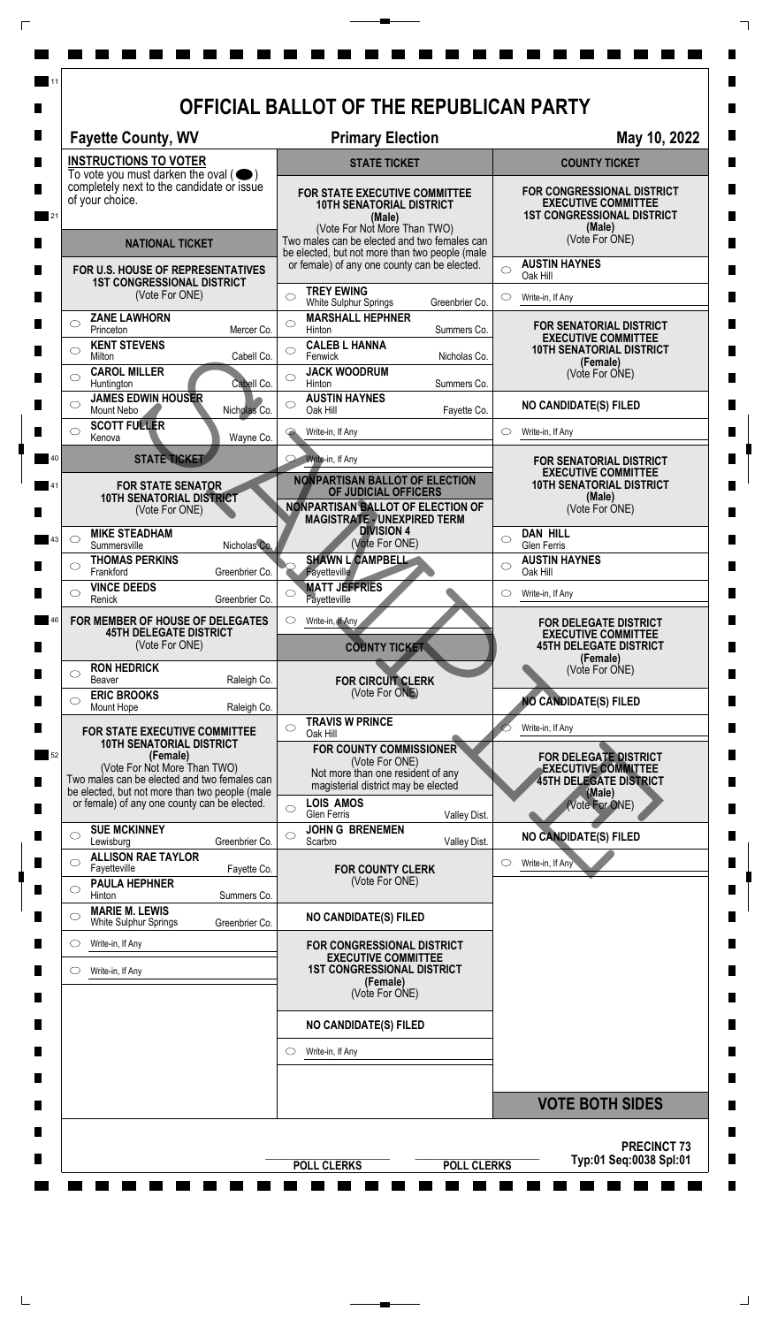| <b>Fayette County, WV</b>                                                                              | <b>Primary Election</b>                                                                                                                  | May 10, 2022                                                                                                   |  |
|--------------------------------------------------------------------------------------------------------|------------------------------------------------------------------------------------------------------------------------------------------|----------------------------------------------------------------------------------------------------------------|--|
| <b>INSTRUCTIONS TO VOTER</b>                                                                           | <b>STATE TICKET</b>                                                                                                                      | <b>COUNTY TICKET</b>                                                                                           |  |
| To vote you must darken the oval $($<br>completely next to the candidate or issue<br>of your choice.   | FOR STATE EXECUTIVE COMMITTEE<br><b>10TH SENATORIAL DISTRICT</b><br>(Male)<br>(Vote For Not More Than TWO)                               | <b>FOR CONGRESSIONAL DISTRICT</b><br><b>EXECUTIVE COMMITTEE</b><br><b>1ST CONGRESSIONAL DISTRICT</b><br>(Male) |  |
| <b>NATIONAL TICKET</b>                                                                                 | Two males can be elected and two females can<br>be elected, but not more than two people (male                                           | (Vote For ONE)                                                                                                 |  |
| FOR U.S. HOUSE OF REPRESENTATIVES<br><b>1ST CONGRESSIONAL DISTRICT</b>                                 | or female) of any one county can be elected.                                                                                             | <b>AUSTIN HAYNES</b><br>$\circ$<br>Oak Hill                                                                    |  |
| (Vote For ONE)                                                                                         | <b>TREY EWING</b><br>$\bigcirc$<br>Greenbrier Co.<br>White Sulphur Springs                                                               | $\circ$<br>Write-in, If Any                                                                                    |  |
| <b>ZANE LAWHORN</b><br>$\circlearrowright$<br>Princeton<br>Mercer Co.                                  | <b>MARSHALL HEPHNER</b><br>O<br>Hinton<br>Summers Co.                                                                                    | FOR SENATORIAL DISTRICT<br><b>EXECUTIVE COMMITTEE</b>                                                          |  |
| <b>KENT STEVENS</b><br>◯<br>Cabell Co.<br>Milton                                                       | <b>CALEB L HANNA</b><br>◯<br>Fenwick<br>Nicholas Co.                                                                                     | <b>10TH SENATORIAL DISTRICT</b><br>(Female)                                                                    |  |
| <b>CAROL MILLER</b><br>Huntington<br>Cabell Co.                                                        | <b>JACK WOODRUM</b><br>$\bigcirc$<br>Summers Co.<br>Hinton                                                                               | (Vote For ONE)                                                                                                 |  |
| <b>JAMES EDWIN HOUSER</b><br>Mount Nebo<br>Nicholas Co.                                                | <b>AUSTIN HAYNES</b><br>$\circ$<br>Oak Hill<br>Fayette Co.                                                                               | <b>NO CANDIDATE(S) FILED</b>                                                                                   |  |
| <b>SCOTT FULLER</b><br>◯<br>Kenova<br>Wayne Co.                                                        | Write-in, If Any                                                                                                                         | $\circ$<br>Write-in, If Any                                                                                    |  |
| <b>STATE TICKET</b>                                                                                    | Write-in, If Any                                                                                                                         | FOR SENATORIAL DISTRICT<br><b>EXECUTIVE COMMITTEE</b>                                                          |  |
| <b>FOR STATE SENATOR</b><br><b>10TH SENATORIAL DISTRICT</b><br>(Vote For ONE)                          | <b>NONPARTISAN BALLOT OF ELECTION</b><br>OF JUDICIAL OFFICERS<br>NONPARTISAN BALLOT OF ELECTION OF<br><b>MAGISTRATE - UNEXPIRED TERM</b> | <b>10TH SENATORIAL DISTRICT</b><br>(Male)<br>(Vote For ONE)                                                    |  |
| <b>MIKE STEADHAM</b><br>$\circ$<br>Summersville<br>Nicholas Co.                                        | <b>DIVISION 4</b><br>(Vote For ONE)                                                                                                      | <b>DAN HILL</b><br>$\circ$<br>Glen Ferris                                                                      |  |
| <b>THOMAS PERKINS</b><br>Greenbrier Co.<br>Frankford                                                   | SHAWN L CAMPBELL<br><b>Fayetteville</b>                                                                                                  | <b>AUSTIN HAYNES</b><br>$\circ$<br>Oak Hill                                                                    |  |
| <b>VINCE DEEDS</b><br>Renick<br>Greenbrier Co.                                                         | <b>MATT JEFFRIES</b><br>O<br>Fayetteville                                                                                                | $\circ$<br>Write-in, If Any                                                                                    |  |
| FOR MEMBER OF HOUSE OF DELEGATES<br><b>45TH DELEGATE DISTRICT</b><br>(Vote For ONE)                    | Write-in, If Any<br>O<br><b>COUNTY TICKET</b>                                                                                            | <b>FOR DELEGATE DISTRICT</b><br><b>EXECUTIVE COMMITTEE</b><br><b>45TH DELEGATE DISTRICT</b>                    |  |
| <b>RON HEDRICK</b><br>$\circlearrowright$                                                              |                                                                                                                                          | (Female)<br>(Vote For ONE)                                                                                     |  |
| Beaver<br>Raleigh Co.<br><b>ERIC BROOKS</b><br>◯                                                       | <b>FOR CIRCUIT CLERK</b><br>(Vote For ONE)                                                                                               | <b>NO CANDIDATE(S) FILED</b>                                                                                   |  |
| Mount Hope<br>Raleigh Co.<br><b>FOR STATE EXECUTIVE COMMITTEE</b>                                      | <b>TRAVIS W PRINCE</b><br>$\bigcirc$                                                                                                     | Write-in, If Any                                                                                               |  |
| <b>10TH SENATORIAL DISTRICT</b><br>(Female)<br>(Vote For Not More Than TWO)                            | Oak Hill<br><b>FOR COUNTY COMMISSIONER</b><br>(Vote For ONE)<br>Not more than one resident of any                                        | FOR DELEGATE DISTRICT<br><b>EXECUTIVE COMMITTEE</b>                                                            |  |
| Two males can be elected and two females can<br>be elected, but not more than two people (male         | magisterial district may be elected<br><b>LOIS AMOS</b>                                                                                  | <b>45TH DELEGATE DISTRICT</b><br>(Male)                                                                        |  |
| or female) of any one county can be elected.                                                           | O<br>Valley Dist.<br>Glen Ferris                                                                                                         | (Vote For ONE)                                                                                                 |  |
| <b>SUE MCKINNEY</b><br>$\circlearrowright$<br>Lewisburg<br>Greenbrier Co.<br><b>ALLISON RAE TAYLOR</b> | <b>JOHN G BRENEMEN</b><br>$\circ$<br>Scarbro<br>Valley Dist.                                                                             | <b>NO CANDIDATE(S) FILED</b>                                                                                   |  |
| ⌒<br>Fayetteville<br>Fayette Co.<br><b>PAULA HEPHNER</b>                                               | <b>FOR COUNTY CLERK</b><br>(Vote For ONE)                                                                                                | Write-in, If Any<br>O                                                                                          |  |
| $\circlearrowright$<br>Hinton<br>Summers Co.<br><b>MARIE M. LEWIS</b>                                  |                                                                                                                                          |                                                                                                                |  |
| $\circlearrowright$<br>White Sulphur Springs<br>Greenbrier Co.                                         | <b>NO CANDIDATE(S) FILED</b>                                                                                                             |                                                                                                                |  |
| Write-in, If Any<br>$\circ$                                                                            | FOR CONGRESSIONAL DISTRICT<br><b>EXECUTIVE COMMITTEE</b>                                                                                 |                                                                                                                |  |
| Write-in, If Any<br>O.                                                                                 | <b>1ST CONGRESSIONAL DISTRICT</b><br>(Female)<br>(Vote For ONE)                                                                          |                                                                                                                |  |
|                                                                                                        | <b>NO CANDIDATE(S) FILED</b>                                                                                                             |                                                                                                                |  |
|                                                                                                        | Write-in, If Any<br>$\circlearrowright$                                                                                                  |                                                                                                                |  |
|                                                                                                        |                                                                                                                                          |                                                                                                                |  |
|                                                                                                        |                                                                                                                                          | <b>VOTE BOTH SIDES</b>                                                                                         |  |

 $\overline{\Gamma}$ 

 $\top$